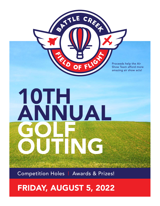OF TLE CREEK EXP FLIG Proceeds help the Air Show Team afford more amazing air show acts! **19TH** ANNUAL GOLF OUTING Competition Holes | Awards & Prizes!

# FRIDAY, AUGUST 5, 2022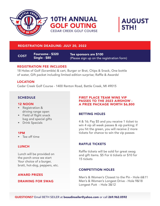





## REGISTRATION DEADLINE: JULY 20, 2022

COST Foursome - \$320 Single - \$80

Tee sponsors are \$100 (Please sign up on the registration form)

## REGISTRATION FEE INCLUDES

18 Holes of Golf (Scramble) & cart, Burger or Brat, Chips & Snack, One bottle of water, Gift packet including limited edition surprise; Raffle & Awards!

## LOCATION

Cedar Creek Golf Course - 1400 Renton Road, Battle Creek, MI 49015

## **SCHEDULE**

#### 12 NOON

- Registration & driving range open
- Field of flight snack bag and special gifts
- Drink Specials

#### 1PM

• Tee off time

## **LUNCH**

Lunch will be provided on the porch once we start Your choice of a burger, bratt, hot-dog, peppers, etc.

## AWARD PRIZES

#### DRAWING FOR SWAG

#### FIRST PLACE TEAM WINS VIP PASSES TO THE 2023 AIRSHOW - A PRIZE PACKAGE WORTH \$6,800

## BETTING HOLES

4 & 16; Pay \$5 and you receive 1 ticket to win 4 vip all week passes & vip parking; if you hit the green, you will receive 2 more tickets for chance to win the vip passes

## RAFFLE TICKETS

Raffle tickets will be sold for great swag and gift items. \$5 For 6 tickets or \$10 for 15 tickets

## COMPETITION HOLES

Men's & Women's Closest to the Pin - Hole 6&11 Men's & Women's Longest Drive - Hole 9&18 Longest Putt - Hole 3&12